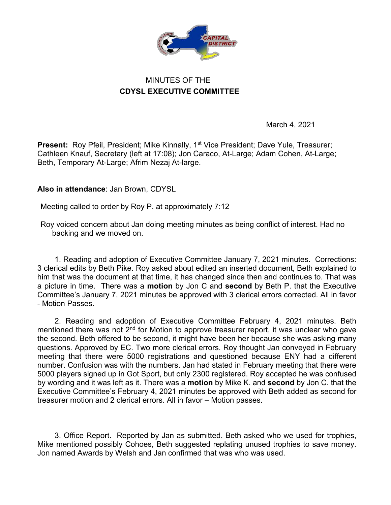

## MINUTES OF THE **CDYSL EXECUTIVE COMMITTEE**

March 4, 2021

**Present:** Roy Pfeil, President; Mike Kinnally, 1<sup>st</sup> Vice President; Dave Yule, Treasurer; Cathleen Knauf, Secretary (left at 17:08); Jon Caraco, At-Large; Adam Cohen, At-Large; Beth, Temporary At-Large; Afrim Nezaj At-large.

**Also in attendance**: Jan Brown, CDYSL

Meeting called to order by Roy P. at approximately 7:12

Roy voiced concern about Jan doing meeting minutes as being conflict of interest. Had no backing and we moved on.

1. Reading and adoption of Executive Committee January 7, 2021 minutes. Corrections: 3 clerical edits by Beth Pike. Roy asked about edited an inserted document, Beth explained to him that was the document at that time, it has changed since then and continues to. That was a picture in time. There was a **motion** by Jon C and **second** by Beth P. that the Executive Committee's January 7, 2021 minutes be approved with 3 clerical errors corrected. All in favor - Motion Passes.

2. Reading and adoption of Executive Committee February 4, 2021 minutes. Beth mentioned there was not 2<sup>nd</sup> for Motion to approve treasurer report, it was unclear who gave the second. Beth offered to be second, it might have been her because she was asking many questions. Approved by EC. Two more clerical errors. Roy thought Jan conveyed in February meeting that there were 5000 registrations and questioned because ENY had a different number. Confusion was with the numbers. Jan had stated in February meeting that there were 5000 players signed up in Got Sport, but only 2300 registered. Roy accepted he was confused by wording and it was left as it. There was a **motion** by Mike K. and **second** by Jon C. that the Executive Committee's February 4, 2021 minutes be approved with Beth added as second for treasurer motion and 2 clerical errors. All in favor – Motion passes.

3. Office Report. Reported by Jan as submitted. Beth asked who we used for trophies, Mike mentioned possibly Cohoes, Beth suggested replating unused trophies to save money. Jon named Awards by Welsh and Jan confirmed that was who was used.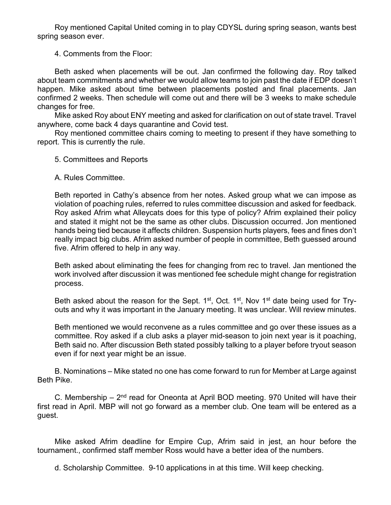Roy mentioned Capital United coming in to play CDYSL during spring season, wants best spring season ever.

4. Comments from the Floor:

Beth asked when placements will be out. Jan confirmed the following day. Roy talked about team commitments and whether we would allow teams to join past the date if EDP doesn't happen. Mike asked about time between placements posted and final placements. Jan confirmed 2 weeks. Then schedule will come out and there will be 3 weeks to make schedule changes for free.

Mike asked Roy about ENY meeting and asked for clarification on out of state travel. Travel anywhere, come back 4 days quarantine and Covid test.

Roy mentioned committee chairs coming to meeting to present if they have something to report. This is currently the rule.

- 5. Committees and Reports
- A. Rules Committee.

Beth reported in Cathy's absence from her notes. Asked group what we can impose as violation of poaching rules, referred to rules committee discussion and asked for feedback. Roy asked Afrim what Alleycats does for this type of policy? Afrim explained their policy and stated it might not be the same as other clubs. Discussion occurred. Jon mentioned hands being tied because it affects children. Suspension hurts players, fees and fines don't really impact big clubs. Afrim asked number of people in committee, Beth guessed around five. Afrim offered to help in any way.

Beth asked about eliminating the fees for changing from rec to travel. Jan mentioned the work involved after discussion it was mentioned fee schedule might change for registration process.

Beth asked about the reason for the Sept. 1<sup>st</sup>, Oct. 1<sup>st</sup>, Nov 1<sup>st</sup> date being used for Tryouts and why it was important in the January meeting. It was unclear. Will review minutes.

Beth mentioned we would reconvene as a rules committee and go over these issues as a committee. Roy asked if a club asks a player mid-season to join next year is it poaching, Beth said no. After discussion Beth stated possibly talking to a player before tryout season even if for next year might be an issue.

B. Nominations – Mike stated no one has come forward to run for Member at Large against Beth Pike.

C. Membership –  $2<sup>nd</sup>$  read for Oneonta at April BOD meeting. 970 United will have their first read in April. MBP will not go forward as a member club. One team will be entered as a guest.

Mike asked Afrim deadline for Empire Cup, Afrim said in jest, an hour before the tournament., confirmed staff member Ross would have a better idea of the numbers.

d. Scholarship Committee. 9-10 applications in at this time. Will keep checking.